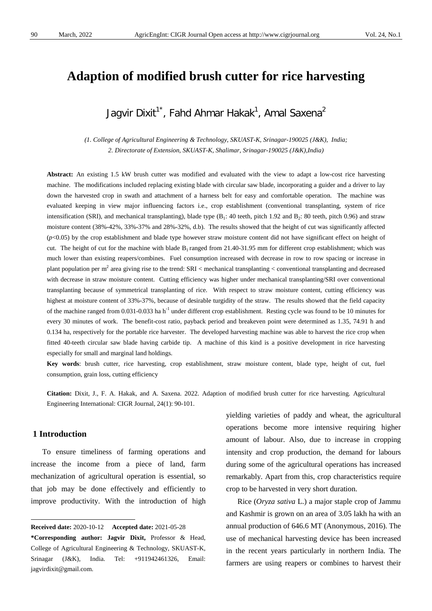# **Adaption of modified brush cutter for rice harvesting**

# Jagvir Dixit $^{1^{\ast}}$ , Fahd Ahmar Hakak $^{1}$ , Amal Saxena $^{2}$

*(1. College of Agricultural Engineering & Technology, SKUAST-K, Srinagar-190025 (J&K), India; 2. Directorate of Extension, SKUAST-K, Shalimar, Srinagar-190025 (J&K),India)*

**Abstract:** An existing 1.5 kW brush cutter was modified and evaluated with the view to adapt a low-cost rice harvesting machine. The modifications included replacing existing blade with circular saw blade, incorporating a guider and a driver to lay down the harvested crop in swath and attachment of a harness belt for easy and comfortable operation. The machine was evaluated keeping in view major influencing factors i.e., crop establishment (conventional transplanting, system of rice intensification (SRI), and mechanical transplanting), blade type  $(B_1: 40$  teeth, pitch 1.92 and  $B_2: 80$  teeth, pitch 0.96) and straw moisture content (38%-42%, 33%-37% and 28%-32%, d.b). The results showed that the height of cut was significantly affected  $(p<0.05)$  by the crop establishment and blade type however straw moisture content did not have significant effect on height of cut. The height of cut for the machine with blade  $B_1$  ranged from 21.40-31.95 mm for different crop establishment; which was much lower than existing reapers/combines. Fuel consumption increased with decrease in row to row spacing or increase in plant population per m<sup>2</sup> area giving rise to the trend:  $SRI <$  mechanical transplanting  $\lt$  conventional transplanting and decreased with decrease in straw moisture content. Cutting efficiency was higher under mechanical transplanting/SRI over conventional transplanting because of symmetrical transplanting of rice. With respect to straw moisture content, cutting efficiency was highest at moisture content of 33%-37%, because of desirable turgidity of the straw. The results showed that the field capacity of the machine ranged from 0.031-0.033 ha h<sup>-1</sup> under different crop establishment. Resting cycle was found to be 10 minutes for every 30 minutes of work. The benefit-cost ratio, payback period and breakeven point were determined as 1.35, 74.91 h and 0.134 ha, respectively for the portable rice harvester. The developed harvesting machine was able to harvest the rice crop when fitted 40-teeth circular saw blade having carbide tip. A machine of this kind is a positive development in rice harvesting especially for small and marginal land holdings.

**Key words**: brush cutter, rice harvesting, crop establishment, straw moisture content, blade type, height of cut, fuel consumption, grain loss, cutting efficiency

**Citation:** Dixit, J., F. A. Hakak, and A. Saxena. 2022. Adaption of modified brush cutter for rice harvesting. Agricultural Engineering International: CIGR Journal, 24(1): 90-101.

## **1 Introduction**

To ensure timeliness of farming operations and increase the income from a piece of land, farm mechanization of agricultural operation is essential, so that job may be done effectively and efficiently to improve productivity. With the introduction of high yielding varieties of paddy and wheat, the agricultural operations become more intensive requiring higher amount of labour. Also, due to increase in cropping intensity and crop production, the demand for labours during some of the agricultural operations has increased remarkably. Apart from this, crop characteristics require crop to be harvested in very short duration.

Rice (*Oryza sativa* L.) a major staple crop of Jammu and Kashmir is grown on an area of 3.05 lakh ha with an annual production of 646.6 MT (Anonymous, 2016). The use of mechanical harvesting device has been increased in the recent years particularly in northern India. The farmers are using reapers or combines to harvest their

<span id="page-0-0"></span>**Received date:** 2020-10-12 **Accepted date:** 2021-05-28 **\*Corresponding author: Jagvir Dixit,** Professor & Head, College of Agricultural Engineering & Technology, SKUAST-K, Srinagar (J&K), India. Tel: +911942461326, Email: jagvirdixit@gmail.com.  $\overline{a}$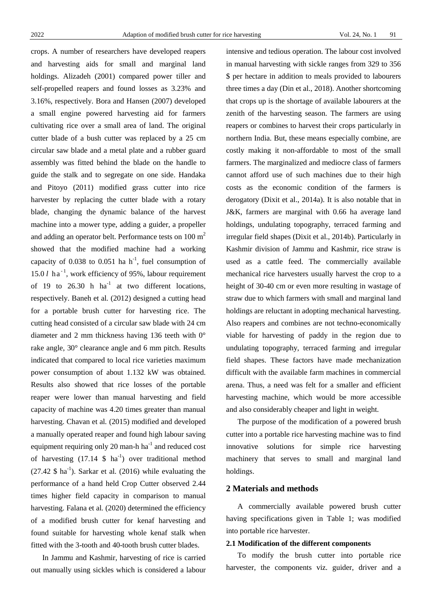crops. A number of researchers have developed reapers and harvesting aids for small and marginal land holdings. Alizadeh (2001) compared power tiller and self-propelled reapers and found losses as 3.23% and 3.16%, respectively. Bora and Hansen (2007) developed a small engine powered harvesting aid for farmers cultivating rice over a small area of land. The original cutter blade of a bush cutter was replaced by a 25 cm circular saw blade and a metal plate and a rubber guard assembly was fitted behind the blade on the handle to guide the stalk and to segregate on one side. Handaka and Pitoyo (2011) modified grass cutter into rice harvester by replacing the cutter blade with a rotary blade, changing the dynamic balance of the harvest machine into a mower type, adding a guider, a propeller and adding an operator belt. Performance tests on  $100 \text{ m}^2$ showed that the modified machine had a working capacity of  $0.038$  to  $0.051$  ha h<sup>-1</sup>, fuel consumption of 15.0  $l$  ha<sup>-1</sup>, work efficiency of 95%, labour requirement of 19 to 26.30 h  $ha^{-1}$  at two different locations, respectively. Baneh et al*.* (2012) designed a cutting head for a portable brush cutter for harvesting rice. The cutting head consisted of a circular saw blade with 24 cm diameter and 2 mm thickness having 136 teeth with 0° rake angle, 30° clearance angle and 6 mm pitch. Results indicated that compared to local rice varieties maximum power consumption of about 1.132 kW was obtained. Results also showed that rice losses of the portable reaper were lower than manual harvesting and field capacity of machine was 4.20 times greater than manual harvesting. Chavan et al*.* (2015) modified and developed a manually operated reaper and found high labour saving equipment requiring only 20 man-h  $ha^{-1}$  and reduced cost of harvesting  $(17.14 \text{ S} \text{ ha}^{-1})$  over traditional method  $(27.42 \text{ } \$ \text{ ha}^{-1})$ . Sarkar et al.  $(2016)$  while evaluating the performance of a hand held Crop Cutter observed 2.44 times higher field capacity in comparison to manual harvesting. Falana et al. (2020) determined the efficiency of a modified brush cutter for kenaf harvesting and found suitable for harvesting whole kenaf stalk when fitted with the 3-tooth and 40-tooth brush cutter blades.

In Jammu and Kashmir, harvesting of rice is carried out manually using sickles which is considered a labour intensive and tedious operation. The labour cost involved in manual harvesting with sickle ranges from 329 to 356 \$ per hectare in addition to meals provided to labourers three times a day (Din et al., 2018). Another shortcoming that crops up is the shortage of available labourers at the zenith of the harvesting season. The farmers are using reapers or combines to harvest their crops particularly in northern India. But, these means especially combine, are costly making it non-affordable to most of the small farmers. The marginalized and mediocre class of farmers cannot afford use of such machines due to their high costs as the economic condition of the farmers is derogatory (Dixit et al., 2014a). It is also notable that in J&K, farmers are marginal with 0.66 ha average land holdings, undulating topography, terraced farming and irregular field shapes (Dixit et al., 2014b). Particularly in Kashmir division of Jammu and Kashmir, rice straw is used as a cattle feed. The commercially available mechanical rice harvesters usually harvest the crop to a height of 30-40 cm or even more resulting in wastage of straw due to which farmers with small and marginal land holdings are reluctant in adopting mechanical harvesting. Also reapers and combines are not techno-economically viable for harvesting of paddy in the region due to undulating topography, terraced farming and irregular field shapes. These factors have made mechanization difficult with the available farm machines in commercial arena. Thus, a need was felt for a smaller and efficient harvesting machine, which would be more accessible and also considerably cheaper and light in weight.

The purpose of the modification of a powered brush cutter into a portable rice harvesting machine was to find innovative solutions for simple rice harvesting machinery that serves to small and marginal land holdings.

## **2 Materials and methods**

A commercially available powered brush cutter having specifications given in Table 1; was modified into portable rice harvester.

#### **2.1 Modification of the different components**

To modify the brush cutter into portable rice harvester, the components viz. guider, driver and a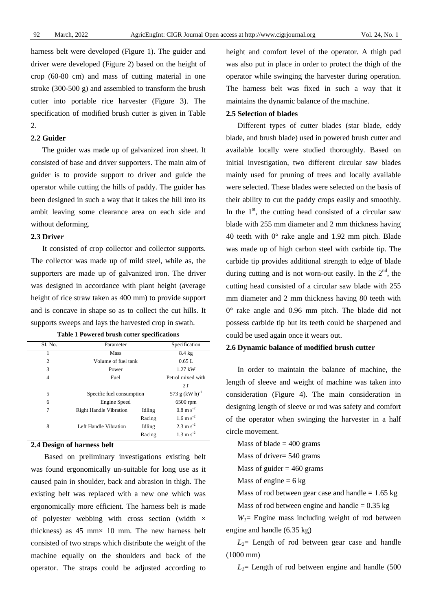harness belt were developed (Figure 1). The guider and driver were developed (Figure 2) based on the height of crop (60-80 cm) and mass of cutting material in one stroke (300-500 g) and assembled to transform the brush cutter into portable rice harvester (Figure 3). The specification of modified brush cutter is given in Table 2.

#### **2.2 Guider**

The guider was made up of galvanized iron sheet. It consisted of base and driver supporters. The main aim of guider is to provide support to driver and guide the operator while cutting the hills of paddy. The guider has been designed in such a way that it takes the hill into its ambit leaving some clearance area on each side and without deforming.

#### **2.3 Driver**

It consisted of crop collector and collector supports. The collector was made up of mild steel, while as, the supporters are made up of galvanized iron. The driver was designed in accordance with plant height (average height of rice straw taken as 400 mm) to provide support and is concave in shape so as to collect the cut hills. It supports sweeps and lays the harvested crop in swath.

| SI. No. | Parameter                     | Specification          |                        |
|---------|-------------------------------|------------------------|------------------------|
|         | Mass                          |                        | $8.4 \text{ kg}$       |
| 2       | Volume of fuel tank           | 0.65L                  |                        |
| 3       | Power                         |                        | 1.27 kW                |
| 4       | Fuel                          | Petrol mixed with      |                        |
|         |                               | 2T                     |                        |
| 5       | Specific fuel consumption     | 573 g $(kW h)^{-1}$    |                        |
| 6       | <b>Engine Speed</b>           |                        | $6500$ rpm             |
| 7       | <b>Right Handle Vibration</b> | Idling                 | $0.8 \text{ m s}^{-2}$ |
|         |                               | Racing                 | $1.6 \text{ m s}^{-2}$ |
| 8       | Left Handle Vibration         | Idling                 | $2.3 \text{ m s}^{-2}$ |
|         |                               | $1.3 \text{ m s}^{-2}$ |                        |

**Table 1 Powered brush cutter specifications**

# **2.4 Design of harness belt**

Based on preliminary investigations existing belt was found ergonomically un-suitable for long use as it caused pain in shoulder, back and abrasion in thigh. The existing belt was replaced with a new one which was ergonomically more efficient. The harness belt is made of polyester webbing with cross section (width  $\times$ thickness) as  $45$  mm $\times$  10 mm. The new harness belt consisted of two straps which distribute the weight of the machine equally on the shoulders and back of the operator. The straps could be adjusted according to

height and comfort level of the operator. A thigh pad was also put in place in order to protect the thigh of the operator while swinging the harvester during operation. The harness belt was fixed in such a way that it maintains the dynamic balance of the machine.

#### **2.5 Selection of blades**

Different types of cutter blades (star blade, eddy blade, and brush blade) used in powered brush cutter and available locally were studied thoroughly. Based on initial investigation, two different circular saw blades mainly used for pruning of trees and locally available were selected. These blades were selected on the basis of their ability to cut the paddy crops easily and smoothly. In the  $1<sup>st</sup>$ , the cutting head consisted of a circular saw blade with 255 mm diameter and 2 mm thickness having 40 teeth with 0° rake angle and 1.92 mm pitch. Blade was made up of high carbon steel with carbide tip. The carbide tip provides additional strength to edge of blade during cutting and is not worn-out easily. In the  $2<sup>nd</sup>$ , the cutting head consisted of a circular saw blade with 255 mm diameter and 2 mm thickness having 80 teeth with 0° rake angle and 0.96 mm pitch. The blade did not possess carbide tip but its teeth could be sharpened and could be used again once it wears out.

#### **2.6 Dynamic balance of modified brush cutter**

In order to maintain the balance of machine, the length of sleeve and weight of machine was taken into consideration (Figure 4). The main consideration in designing length of sleeve or rod was safety and comfort of the operator when swinging the harvester in a half circle movement.

Mass of blade  $= 400$  grams Mass of driver= 540 grams

Mass of guider  $= 460$  grams

Mass of engine  $= 6 \text{ kg}$ 

Mass of rod between gear case and handle  $= 1.65$  kg

Mass of rod between engine and handle  $= 0.35$  kg

 $W_1$ = Engine mass including weight of rod between engine and handle (6.35 kg)

 $L_2$ = Length of rod between gear case and handle (1000 mm)

 $L_1$ = Length of rod between engine and handle (500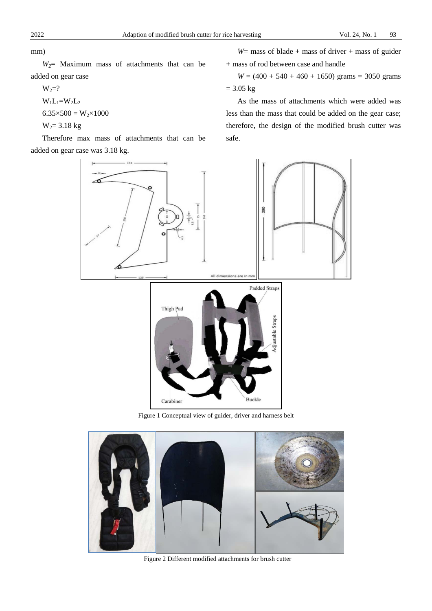mm)

*W2*= Maximum mass of attachments that can be added on gear case

$$
W_2=?
$$
  
\n
$$
W_1L_1=W_2L_2
$$
  
\n
$$
6.35 \times 500 = W_2 \times 1000
$$
  
\n
$$
W_2 = 3.18 \text{ kg}
$$

Therefore max mass of attachments that can be added on gear case was 3.18 kg.

*W*= mass of blade + mass of driver + mass of guider + mass of rod between case and handle

 $W = (400 + 540 + 460 + 1650)$  grams = 3050 grams  $= 3.05 \text{ kg}$ 

As the mass of attachments which were added was less than the mass that could be added on the gear case; therefore, the design of the modified brush cutter was safe.



Figure 1 Conceptual view of guider, driver and harness belt



Figure 2 Different modified attachments for brush cutter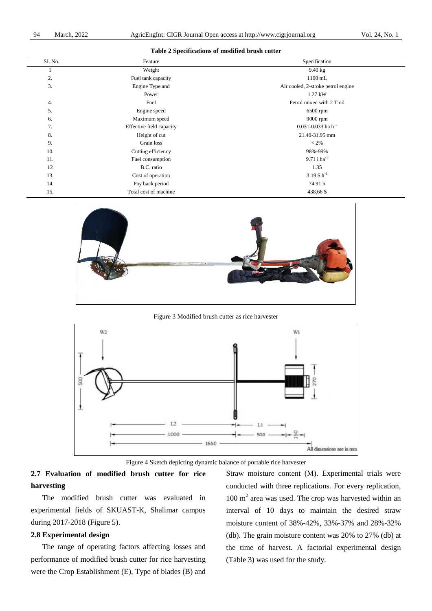| SI. No. | Feature                  | Specification                      |
|---------|--------------------------|------------------------------------|
|         | Weight                   | $9.40$ kg                          |
| 2.      | Fuel tank capacity       | 1100 mL                            |
| 3.      | Engine Type and          | Air cooled, 2-stroke petrol engine |
|         | Power                    | 1.27 kW                            |
| 4.      | Fuel                     | Petrol mixed with 2 T oil          |
| 5.      | Engine speed             | 6500 rpm                           |
| 6.      | Maximum speed            | 9000 rpm                           |
| 7.      | Effective field capacity | $0.031 - 0.033$ ha h <sup>-1</sup> |
| 8.      | Height of cut            | 21.40-31.95 mm                     |
| 9.      | Grain loss               | $<$ 2%                             |
| 10.     | Cutting efficiency       | 98%-99%                            |
| 11.     | Fuel consumption         | $9.711$ ha <sup>-1</sup>           |
| 12      | B.C. ratio               | 1.35                               |
| 13.     | Cost of operation        | 3.19 \$ $h^{-1}$                   |
| 14.     | Pay back period          | 74.91 h                            |
| 15.     | Total cost of machine    | 438.66 \$                          |

#### **Table 2 Specifications of modified brush cutter**



#### Figure 3 Modified brush cutter as rice harvester



Figure 4 Sketch depicting dynamic balance of portable rice harvester

# **2.7 Evaluation of modified brush cutter for rice harvesting**

The modified brush cutter was evaluated in experimental fields of SKUAST-K, Shalimar campus during 2017-2018 (Figure 5).

## **2.8 Experimental design**

The range of operating factors affecting losses and performance of modified brush cutter for rice harvesting were the Crop Establishment (E), Type of blades (B) and

Straw moisture content (M). Experimental trials were conducted with three replications. For every replication, 100 m<sup>2</sup> area was used. The crop was harvested within an interval of 10 days to maintain the desired straw moisture content of 38%-42%, 33%-37% and 28%-32% (db). The grain moisture content was 20% to 27% (db) at the time of harvest. A factorial experimental design (Table 3) was used for the study.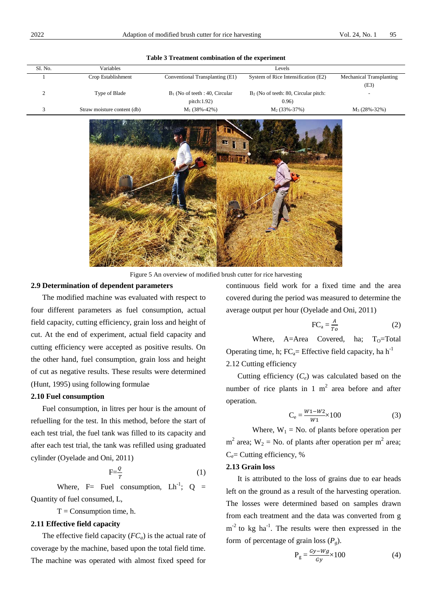| SI. No. | Variables                   |                                   | Levels                                  |                          |
|---------|-----------------------------|-----------------------------------|-----------------------------------------|--------------------------|
|         | Crop Establishment          | Conventional Transplanting (E1)   | System of Rice Intensification (E2)     | Mechanical Transplanting |
|         |                             |                                   |                                         | (E3)                     |
|         | Type of Blade               | $B_1$ (No of teeth : 40, Circular | $B_2$ (No of teeth: 80, Circular pitch: | $\overline{\phantom{a}}$ |
|         |                             | pitch:1.92)                       | 0.96)                                   |                          |
|         | Straw moisture content (db) | $M_1$ (38%-42%)                   | $M_2$ (33%-37%)                         | $M_3$ (28%-32%)          |

#### **Table 3 Treatment combination of the experiment**



Figure 5 An overview of modified brush cutter for rice harvesting

#### **2.9 Determination of dependent parameters**

The modified machine was evaluated with respect to four different parameters as fuel consumption, actual field capacity, cutting efficiency, grain loss and height of cut. At the end of experiment, actual field capacity and cutting efficiency were accepted as positive results. On the other hand, fuel consumption, grain loss and height of cut as negative results. These results were determined (Hunt, 1995) using following formulae

#### **2.10 Fuel consumption**

Fuel consumption, in litres per hour is the amount of refuelling for the test. In this method, before the start of each test trial, the fuel tank was filled to its capacity and after each test trial, the tank was refilled using graduated cylinder (Oyelade and Oni, 2011)

$$
F=\frac{Q}{T}
$$
 (1)

Where, F= Fuel consumption,  $Lh^{-1}$ ; Q = Quantity of fuel consumed, L,

 $T =$  Consumption time, h.

#### **2.11 Effective field capacity**

The effective field capacity  $(FC_a)$  is the actual rate of coverage by the machine, based upon the total field time. The machine was operated with almost fixed speed for

continuous field work for a fixed time and the area covered during the period was measured to determine the average output per hour (Oyelade and Oni, 2011)

$$
FC_a = \frac{A}{T_o} \tag{2}
$$

Where,  $A=Area$  Covered, ha;  $T_0=Total$ Operating time, h;  $FC_a=$  Effective field capacity, ha h<sup>-1</sup> 2.12 Cutting efficiency

Cutting efficiency  $(C_e)$  was calculated based on the number of rice plants in 1  $m<sup>2</sup>$  area before and after operation.

$$
C_e = \frac{W_1 - W_2}{W_1} \times 100\tag{3}
$$

Where,  $W_1$  = No. of plants before operation per  $m<sup>2</sup>$  area; W<sub>2</sub> = No. of plants after operation per m<sup>2</sup> area;  $C_e$ = Cutting efficiency, %

#### **2.13 Grain loss**

It is attributed to the loss of grains due to ear heads left on the ground as a result of the harvesting operation. The losses were determined based on samples drawn from each treatment and the data was converted from g  $m<sup>-2</sup>$  to kg ha<sup>-1</sup>. The results were then expressed in the form of percentage of grain loss  $(P<sub>g</sub>)$ .

$$
P_g = \frac{Gy - Wg}{Gy} \times 100\tag{4}
$$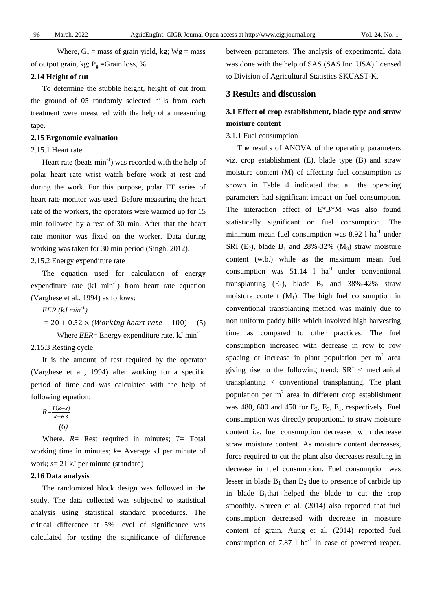Where,  $G_y$  = mass of grain yield, kg; Wg = mass of output grain, kg;  $P_g$  =Grain loss, %

## **2.14 Height of cut**

To determine the stubble height, height of cut from the ground of 05 randomly selected hills from each treatment were measured with the help of a measuring tape.

#### **2.15 Ergonomic evaluation**

## 2.15.1 Heart rate

Heart rate (beats  $min^{-1}$ ) was recorded with the help of polar heart rate wrist watch before work at rest and during the work. For this purpose, polar FT series of heart rate monitor was used. Before measuring the heart rate of the workers, the operators were warmed up for 15 min followed by a rest of 30 min. After that the heart rate monitor was fixed on the worker. Data during working was taken for 30 min period (Singh, 2012).

2.15.2 Energy expenditure rate

The equation used for calculation of energy expenditure rate  $(kJ \text{ min}^{-1})$  from heart rate equation (Varghese et al., 1994) as follows:

*EER (kJ min-1 )* 

$$
= 20 + 0.52 \times (Working \text{ heart rate} - 100) \quad (5)
$$

Where *EER*= Energy expenditure rate, kJ min<sup>-1</sup>

2.15.3 Resting cycle

It is the amount of rest required by the operator (Varghese et al., 1994) after working for a specific period of time and was calculated with the help of following equation:

$$
R = \frac{T(k-s)}{k-6.3}
$$
  
(6)

Where, *R*= Rest required in minutes; *T*= Total working time in minutes; *k*= Average kJ per minute of work; *s*= 21 kJ per minute (standard)

#### **2.16 Data analysis**

The randomized block design was followed in the study. The data collected was subjected to statistical analysis using statistical standard procedures. The critical difference at 5% level of significance was calculated for testing the significance of difference between parameters. The analysis of experimental data was done with the help of SAS (SAS Inc. USA) licensed to Division of Agricultural Statistics SKUAST-K.

## **3 Results and discussion**

# **3.1 Effect of crop establishment, blade type and straw moisture content**

#### 3.1.1 Fuel consumption

The results of ANOVA of the operating parameters viz. crop establishment (E), blade type (B) and straw moisture content (M) of affecting fuel consumption as shown in Table 4 indicated that all the operating parameters had significant impact on fuel consumption. The interaction effect of E\*B\*M was also found statistically significant on fuel consumption. The minimum mean fuel consumption was  $8.92$  l ha<sup>-1</sup> under SRI (E<sub>2</sub>), blade B<sub>1</sub> and 28%-32% (M<sub>3</sub>) straw moisture content (w.b.) while as the maximum mean fuel consumption was  $51.14$  l ha<sup>-1</sup> under conventional transplanting  $(E_1)$ , blade  $B_2$  and 38%-42% straw moisture content  $(M_1)$ . The high fuel consumption in conventional transplanting method was mainly due to non uniform paddy hills which involved high harvesting time as compared to other practices. The fuel consumption increased with decrease in row to row spacing or increase in plant population per  $m<sup>2</sup>$  area giving rise to the following trend: SRI < mechanical transplanting < conventional transplanting. The plant population per  $m<sup>2</sup>$  area in different crop establishment was 480, 600 and 450 for  $E_2$ ,  $E_3$ ,  $E_1$ , respectively. Fuel consumption was directly proportional to straw moisture content i.e. fuel consumption decreased with decrease straw moisture content. As moisture content decreases, force required to cut the plant also decreases resulting in decrease in fuel consumption. Fuel consumption was lesser in blade  $B_1$  than  $B_2$  due to presence of carbide tip in blade  $B_1$ that helped the blade to cut the crop smoothly. Shreen et al*.* (2014) also reported that fuel consumption decreased with decrease in moisture content of grain. Aung et al*.* (2014) reported fuel consumption of 7.87 l  $ha^{-1}$  in case of powered reaper.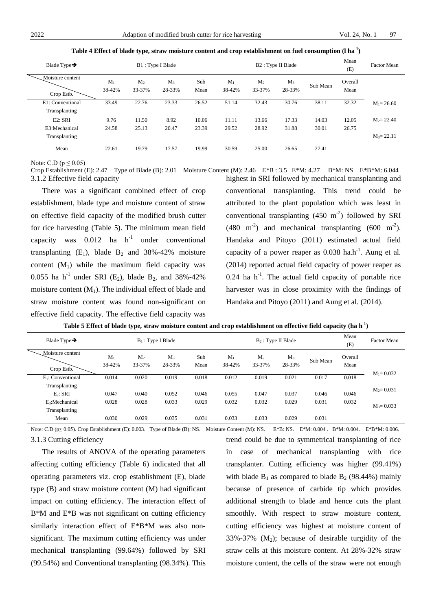| Blade Type $\rightarrow$                  |                 |                 | B1: Type I Blade |                |                 |                 | B2: Type II Blade |                | Mean<br>(E)     | Factor Mean                    |
|-------------------------------------------|-----------------|-----------------|------------------|----------------|-----------------|-----------------|-------------------|----------------|-----------------|--------------------------------|
| Moisture content<br>Crop Estb.            | $M_1$<br>38-42% | $M_2$<br>33-37% | $M_3$<br>28-33%  | Sub<br>Mean    | $M_1$<br>38-42% | $M_2$<br>33-37% | $M_3$<br>28-33%   | Sub Mean       | Overall<br>Mean |                                |
| E1: Conventional<br>Transplanting         | 33.49           | 22.76           | 23.33            | 26.52          | 51.14           | 32.43           | 30.76             | 38.11          | 32.32           | $M_1 = 26.60$                  |
| E2: SRI<br>E3:Mechanical<br>Transplanting | 9.76<br>24.58   | 11.50<br>25.13  | 8.92<br>20.47    | 10.06<br>23.39 | 11.11<br>29.52  | 13.66<br>28.92  | 17.33<br>31.88    | 14.03<br>30.01 | 12.05<br>26.75  | $M_2 = 22.40$<br>$M_3 = 22.11$ |
| Mean                                      | 22.61           | 19.79           | 17.57            | 19.99          | 30.59           | 25.00           | 26.65             | 27.41          |                 |                                |

**Table 4 Effect of blade type, straw moisture content and crop establishment on fuel consumption (l ha-1 )**

Note: C.D ( $p \le 0.05$ )

Crop Establishment (E): 2.47 Type of Blade (B): 2.01 Moisture Content (M): 2.46 E\*B : 3.5 E\*M: 4.27 B\*M: NS E\*B\*M: 6.044 3.1.2 Effective field capacity

There was a significant combined effect of crop establishment, blade type and moisture content of straw on effective field capacity of the modified brush cutter for rice harvesting (Table 5). The minimum mean field capacity was  $0.012$  ha  $h^{-1}$  under conventional transplanting  $(E_1)$ , blade  $B_2$  and 38%-42% moisture content  $(M_1)$  while the maximum field capacity was 0.055 ha h<sup>-1</sup> under SRI (E<sub>2</sub>), blade B<sub>2</sub>, and 38%-42% moisture content  $(M_1)$ . The individual effect of blade and straw moisture content was found non-significant on effective field capacity. The effective field capacity was

highest in SRI followed by mechanical transplanting and conventional transplanting. This trend could be attributed to the plant population which was least in conventional transplanting  $(450 \text{ m}^2)$  followed by SRI  $(480 \text{ m}^2)$  and mechanical transplanting  $(600 \text{ m}^2)$ . Handaka and Pitoyo (2011) estimated actual field capacity of a power reaper as 0.038 ha.h<sup>-1</sup>. Aung et al. (2014) reported actual field capacity of power reaper as  $0.24$  ha h<sup>-1</sup>. The actual field capacity of portable rice harvester was in close proximity with the findings of Handaka and Pitoyo (2011) and Aung et al*.* (2014).

| Blade Type $\rightarrow$       |                 |                          | $B_1$ : Type I Blade |             |                 |                          | $B_2$ : Type II Blade |          | Mean<br>(E)     | <b>Factor Mean</b> |
|--------------------------------|-----------------|--------------------------|----------------------|-------------|-----------------|--------------------------|-----------------------|----------|-----------------|--------------------|
| Moisture content<br>Crop Estb. | $M_1$<br>38-42% | M <sub>2</sub><br>33-37% | $M_3$<br>28-33%      | Sub<br>Mean | $M_1$<br>38-42% | M <sub>2</sub><br>33-37% | $M_3$<br>28-33%       | Sub Mean | Overall<br>Mean | $M_1 = 0.032$      |
| $E_1$ : Conventional           | 0.014           | 0.020                    | 0.019                | 0.018       | 0.012           | 0.019                    | 0.021                 | 0.017    | 0.018           |                    |
| Transplanting                  |                 |                          |                      |             |                 |                          |                       |          |                 | $M_2 = 0.031$      |
| E <sub>2</sub> : SRI           | 0.047           | 0.040                    | 0.052                | 0.046       | 0.055           | 0.047                    | 0.037                 | 0.046    | 0.046           |                    |
| $E_3$ : Mechanical             | 0.028           | 0.028                    | 0.033                | 0.029       | 0.032           | 0.032                    | 0.029                 | 0.031    | 0.032           | $M_3 = 0.033$      |
| Transplanting                  |                 |                          |                      |             |                 |                          |                       |          |                 |                    |
| Mean                           | 0.030           | 0.029                    | 0.035                | 0.031       | 0.033           | 0.033                    | 0.029                 | 0.031    |                 |                    |

Note: C.D (p≤ 0.05). Crop Establishment (E): 0.003. Type of Blade (B): NS. Moisture Content (M): NS. E\*B: NS. E\*M: 0.004. B\*M: 0.004. E\*B\*M: 0.004. 3.1.3 Cutting efficiency

The results of ANOVA of the operating parameters affecting cutting efficiency (Table 6) indicated that all operating parameters viz. crop establishment (E), blade type (B) and straw moisture content (M) had significant impact on cutting efficiency. The interaction effect of B\*M and E\*B was not significant on cutting efficiency similarly interaction effect of E\*B\*M was also nonsignificant. The maximum cutting efficiency was under mechanical transplanting (99.64%) followed by SRI (99.54%) and Conventional transplanting (98.34%). This trend could be due to symmetrical transplanting of rice in case of mechanical transplanting with rice transplanter. Cutting efficiency was higher (99.41%) with blade  $B_1$  as compared to blade  $B_2$  (98.44%) mainly because of presence of carbide tip which provides additional strength to blade and hence cuts the plant smoothly. With respect to straw moisture content, cutting efficiency was highest at moisture content of  $33\% - 37\%$  (M<sub>2</sub>); because of desirable turgidity of the straw cells at this moisture content. At 28%-32% straw moisture content, the cells of the straw were not enough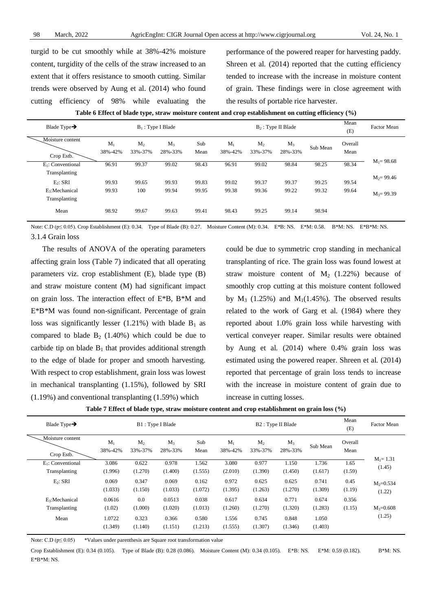turgid to be cut smoothly while at 38%-42% moisture content, turgidity of the cells of the straw increased to an extent that it offers resistance to smooth cutting. Similar trends were observed by Aung et al. (2014) who found cutting efficiency of 98% while evaluating the

performance of the powered reaper for harvesting paddy. Shreen et al. (2014) reported that the cutting efficiency tended to increase with the increase in moisture content of grain. These findings were in close agreement with the results of portable rice harvester.

| Table 6 Effect of blade type, straw moisture content and crop establishment on cutting efficiency $(\% )$ |  |  |
|-----------------------------------------------------------------------------------------------------------|--|--|
|-----------------------------------------------------------------------------------------------------------|--|--|

| Blade Type $\rightarrow$                     |                  |                           | $B_1$ : Type I Blade |             |                  |                           | $B_2$ : Type II Blade |          | Mean<br>(E)     | <b>Factor Mean</b> |
|----------------------------------------------|------------------|---------------------------|----------------------|-------------|------------------|---------------------------|-----------------------|----------|-----------------|--------------------|
| Moisture content<br>Crop Estb.               | $M_1$<br>38%-42% | M <sub>2</sub><br>33%-37% | $M_3$<br>28%-33%     | Sub<br>Mean | $M_1$<br>38%-42% | M <sub>2</sub><br>33%-37% | $M_3$<br>28%-33%      | Sub Mean | Overall<br>Mean |                    |
| $E_1$ : Conventional                         | 96.91            | 99.37                     | 99.02                | 98.43       | 96.91            | 99.02                     | 98.84                 | 98.25    | 98.34           | $M_1 = 98.68$      |
| Transplanting                                |                  |                           |                      |             |                  |                           |                       |          |                 | $M_2 = 99.46$      |
| $E_2$ : SRI                                  | 99.93            | 99.65                     | 99.93                | 99.83       | 99.02            | 99.37                     | 99.37                 | 99.25    | 99.54           |                    |
| E <sub>3</sub> : Mechanical<br>Transplanting | 99.93            | 100                       | 99.94                | 99.95       | 99.38            | 99.36                     | 99.22                 | 99.32    | 99.64           | $M_3 = 99.39$      |
| Mean                                         | 98.92            | 99.67                     | 99.63                | 99.41       | 98.43            | 99.25                     | 99.14                 | 98.94    |                 |                    |

Note: C.D (p≤ 0.05). Crop Establishment (E): 0.34. Type of Blade (B): 0.27. Moisture Content (M): 0.34. E\*B: NS. E\*M: 0.58. B\*M: NS. E\*B\*M: NS. 3.1.4 Grain loss

The results of ANOVA of the operating parameters affecting grain loss (Table 7) indicated that all operating parameters viz. crop establishment (E), blade type (B) and straw moisture content (M) had significant impact on grain loss. The interaction effect of E\*B, B\*M and E\*B\*M was found non-significant. Percentage of grain loss was significantly lesser (1.21%) with blade  $B_1$  as compared to blade  $B_2$  (1.40%) which could be due to carbide tip on blade  $B_1$  that provides additional strength to the edge of blade for proper and smooth harvesting. With respect to crop establishment, grain loss was lowest in mechanical transplanting (1.15%), followed by SRI (1.19%) and conventional transplanting (1.59%) which

could be due to symmetric crop standing in mechanical transplanting of rice. The grain loss was found lowest at straw moisture content of  $M_2$  (1.22%) because of smoothly crop cutting at this moisture content followed by  $M_3$  (1.25%) and  $M_1(1.45\%)$ . The observed results related to the work of Garg et al*.* (1984) where they reported about 1.0% grain loss while harvesting with vertical conveyer reaper. Similar results were obtained by Aung et al*.* (2014) where 0.4% grain loss was estimated using the powered reaper. Shreen et al*.* (2014) reported that percentage of grain loss tends to increase with the increase in moisture content of grain due to increase in cutting losses.

|  | Table 7 Effect of blade type, straw moisture content and crop establishment on grain loss (%) |  |  |  |
|--|-----------------------------------------------------------------------------------------------|--|--|--|
|--|-----------------------------------------------------------------------------------------------|--|--|--|

| Blade Type $\rightarrow$       |                   |                           | B1: Type I Blade |                  |                  |                           | B <sub>2</sub> : Type II Blade |                  | Mean<br>(E)     | <b>Factor Mean</b> |
|--------------------------------|-------------------|---------------------------|------------------|------------------|------------------|---------------------------|--------------------------------|------------------|-----------------|--------------------|
| Moisture content<br>Crop Estb. | $M_1$<br>38%-42%  | M <sub>2</sub><br>33%-37% | $M_3$<br>28%-33% | Sub<br>Mean      | $M_1$<br>38%-42% | M <sub>2</sub><br>33%-37% | $M_3$<br>28%-33%               | Sub Mean         | Overall<br>Mean |                    |
| E <sub>1</sub> : Conventional  | 3.086             | 0.622                     | 0.978            | 1.562            | 3.080            | 0.977                     | 1.150                          | 1.736            | 1.65            | $M_1 = 1.31$       |
| Transplanting                  | (1.996)           | (1.270)                   | (1.400)          | (1.555)          | (2.010)          | (1.390)                   | (1.450)                        | (1.617)          | (1.59)          | (1.45)             |
| $E_2$ : SRI                    | 0.069             | 0.347                     | 0.069            | 0.162            | 0.972            | 0.625                     | 0.625                          | 0.741            | 0.45            | $M_2 = 0.534$      |
|                                | (1.033)           | (1.150)                   | (1.033)          | (1.072)          | (1.395)          | (1.263)                   | (1.270)                        | (1.309)          | (1.19)          | (1.22)             |
| E <sub>3</sub> : Mechanical    | 0.0616            | 0.0                       | 0.0513           | 0.038            | 0.617            | 0.634                     | 0.771                          | 0.674            | 0.356           | $M_3 = 0.608$      |
| Transplanting                  | (1.02)            | (1.000)                   | (1.020)          | (1.013)          | (1.260)          | (1.270)                   | (1.320)                        | (1.283)          | (1.15)          |                    |
| Mean                           | 1.0722<br>(1.349) | 0.323<br>(1.140)          | 0.366<br>(1.151) | 0.580<br>(1.213) | 1.556<br>(1.555) | 0.745<br>(1.307)          | 0.848<br>(1.346)               | 1.050<br>(1.403) |                 | (1.25)             |

Note: C.D ( $p \le 0.05$ ) \*Values under parenthesis are Square root transformation value

Crop Establishment (E): 0.34 (0.105). Type of Blade (B): 0.28 (0.086). Moisture Content (M): 0.34 (0.105). E\*B: NS. E\*M: 0.59 (0.182). B\*M: NS. E\*B\*M: NS.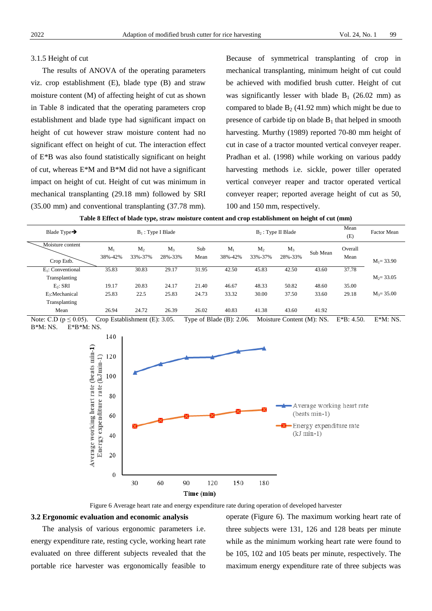#### 3.1.5 Height of cut

The results of ANOVA of the operating parameters viz. crop establishment (E), blade type (B) and straw moisture content (M) of affecting height of cut as shown in Table 8 indicated that the operating parameters crop establishment and blade type had significant impact on height of cut however straw moisture content had no significant effect on height of cut. The interaction effect of E\*B was also found statistically significant on height of cut, whereas E\*M and B\*M did not have a significant impact on height of cut. Height of cut was minimum in mechanical transplanting (29.18 mm) followed by SRI (35.00 mm) and conventional transplanting (37.78 mm).

Because of symmetrical transplanting of crop in mechanical transplanting, minimum height of cut could be achieved with modified brush cutter. Height of cut was significantly lesser with blade  $B_1$  (26.02 mm) as compared to blade  $B_2$  (41.92 mm) which might be due to presence of carbide tip on blade  $B_1$  that helped in smooth harvesting. Murthy (1989) reported 70-80 mm height of cut in case of a tractor mounted vertical conveyer reaper. Pradhan et al. (1998) while working on various paddy harvesting methods i.e. sickle, power tiller operated vertical conveyer reaper and tractor operated vertical conveyer reaper; reported average height of cut as 50, 100 and 150 mm, respectively.

| Table 8 Effect of blade type, straw moisture content and crop establishment on height of cut (mm) |  |  |
|---------------------------------------------------------------------------------------------------|--|--|
|                                                                                                   |  |  |

| Blade Type $\rightarrow$       |                        |                           | $B_1$ : Type I Blade |             |                  |                           | $B_2$ : Type II Blade |          | Mean<br>(E)     | <b>Factor Mean</b> |
|--------------------------------|------------------------|---------------------------|----------------------|-------------|------------------|---------------------------|-----------------------|----------|-----------------|--------------------|
| Moisture content<br>Crop Estb. | $M_{\rm i}$<br>38%-42% | M <sub>2</sub><br>33%-37% | $M_3$<br>28%-33%     | Sub<br>Mean | $M_1$<br>38%-42% | M <sub>2</sub><br>33%-37% | $M_3$<br>28%-33%      | Sub Mean | Overall<br>Mean | $M_1 = 33.90$      |
| $E_1$ : Conventional           | 35.83                  | 30.83                     | 29.17                | 31.95       | 42.50            | 45.83                     | 42.50                 | 43.60    | 37.78           |                    |
| Transplanting                  |                        |                           |                      |             |                  |                           |                       |          |                 | $M_2 = 33.05$      |
| $E_2$ : SRI                    | 19.17                  | 20.83                     | 24.17                | 21.40       | 46.67            | 48.33                     | 50.82                 | 48.60    | 35.00           |                    |
| $E_3$ : Mechanical             | 25.83                  | 22.5                      | 25.83                | 24.73       | 33.32            | 30.00                     | 37.50                 | 33.60    | 29.18           | $M_3 = 35.00$      |
| Transplanting                  |                        |                           |                      |             |                  |                           |                       |          |                 |                    |
| Mean                           | 26.94                  | 24.72                     | 26.39                | 26.02       | 40.83            | 41.38                     | 43.60                 | 41.92    |                 |                    |

Note: C.D ( $p \le 0.05$ ). Crop Establishment (E): 3.05. Type of Blade (B): 2.06. Moisture Content (M): NS. E\*B: 4.50. E\*M: NS. B\*M: NS. E\*B\*M: NS.



Figure 6 Average heart rate and energy expenditure rate during operation of developed harvester

#### **3.2 Ergonomic evaluation and economic analysis**

The analysis of various ergonomic parameters i.e. energy expenditure rate, resting cycle, working heart rate evaluated on three different subjects revealed that the portable rice harvester was ergonomically feasible to operate (Figure 6). The maximum working heart rate of three subjects were 131, 126 and 128 beats per minute while as the minimum working heart rate were found to be 105, 102 and 105 beats per minute, respectively. The maximum energy expenditure rate of three subjects was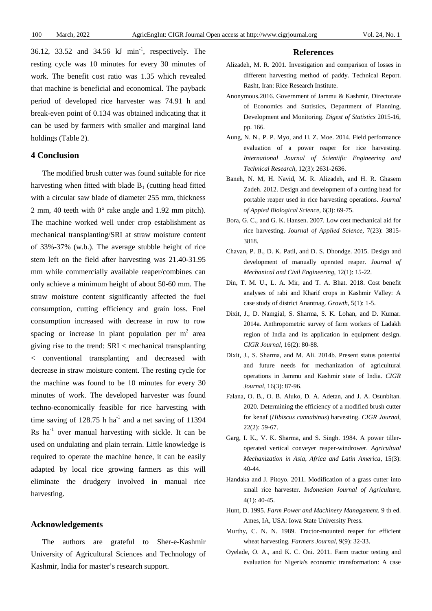36.12, 33.52 and 34.56  $kJ$  min<sup>-1</sup>, respectively. The resting cycle was 10 minutes for every 30 minutes of work. The benefit cost ratio was 1.35 which revealed that machine is beneficial and economical. The payback period of developed rice harvester was 74.91 h and break-even point of 0.134 was obtained indicating that it can be used by farmers with smaller and marginal land holdings (Table 2).

## **4 Conclusion**

The modified brush cutter was found suitable for rice harvesting when fitted with blade  $B_1$  (cutting head fitted with a circular saw blade of diameter 255 mm, thickness 2 mm, 40 teeth with 0° rake angle and 1.92 mm pitch). The machine worked well under crop establishment as mechanical transplanting/SRI at straw moisture content of 33%-37% (w.b.). The average stubble height of rice stem left on the field after harvesting was 21.40-31.95 mm while commercially available reaper/combines can only achieve a minimum height of about 50-60 mm. The straw moisture content significantly affected the fuel consumption, cutting efficiency and grain loss. Fuel consumption increased with decrease in row to row spacing or increase in plant population per  $m<sup>2</sup>$  area giving rise to the trend: SRI < mechanical transplanting < conventional transplanting and decreased with decrease in straw moisture content. The resting cycle for the machine was found to be 10 minutes for every 30 minutes of work. The developed harvester was found techno-economically feasible for rice harvesting with time saving of  $128.75$  h ha<sup>-1</sup> and a net saving of  $11394$  $\text{Rs}$  ha<sup>-1</sup> over manual harvesting with sickle. It can be used on undulating and plain terrain. Little knowledge is required to operate the machine hence, it can be easily adapted by local rice growing farmers as this will eliminate the drudgery involved in manual rice harvesting.

## **Acknowledgements**

The authors are grateful to Sher-e-Kashmir University of Agricultural Sciences and Technology of Kashmir, India for master's research support.

#### **References**

- Alizadeh, M. R. 2001. Investigation and comparison of losses in different harvesting method of paddy. Technical Report. Rasht, Iran: Rice Research Institute.
- Anonymous.2016. Government of Jammu & Kashmir, Directorate of Economics and Statistics, Department of Planning, Development and Monitoring. *Digest of Statistics* 2015-16, pp. 166.
- Aung, N. N., P. P. Myo, and H. Z. Moe. 2014. Field performance evaluation of a power reaper for rice harvesting. *International Journal of Scientific Engineering and Technical Research*, 12(3): 2631-2636.
- Baneh, N. M, H. Navid, M. R. Alizadeh, and H. R. Ghasem Zadeh. 2012. Design and development of a cutting head for portable reaper used in rice harvesting operations. *Journal of Appied Biological Science*, 6(3): 69-75.
- Bora, G. C., and G. K. Hansen. 2007. Low cost mechanical aid for rice harvesting. *Journal of Applied Science*, 7(23): 3815- 3818.
- Chavan, P. B., D. K. Patil, and D. S. Dhondge. 2015. Design and development of manually operated reaper. *Journal of Mechanical and Civil Engineering*, 12(1): 15-22.
- Din, T. M. U., L. A. Mir, and T. A. Bhat. 2018. Cost benefit analyses of rabi and Kharif crops in Kashmir Valley: A case study of district Anantnag. *Growth*, 5(1): 1-5.
- Dixit, J., D. Namgial, S. Sharma, S. K. Lohan, and D. Kumar. 2014a. Anthropometric survey of farm workers of Ladakh region of India and its application in equipment design. *CIGR Journal*, 16(2): 80-88.
- Dixit, J., S. Sharma, and M. Ali. 2014b. Present status potential and future needs for mechanization of agricultural operations in Jammu and Kashmir state of India. *CIGR Journal*, 16(3): 87-96.
- Falana, O. B., O. B. Aluko, D. A. Adetan, and J. A. Osunbitan. 2020. Determining the efficiency of a modified brush cutter for kenaf (*Hibiscus cannabinus*) harvesting. *CIGR Journal*, 22(2): 59-67.
- Garg, I. K., V. K. Sharma, and S. Singh. 1984. A power tilleroperated vertical conveyer reaper-windrower. *Agricultual Mechanization in Asia, Africa and Latin America*, 15(3): 40-44.
- Handaka and J. Pitoyo. 2011. Modification of a grass cutter into small rice harvester. *Indonesian Journal of Agriculture*, 4(1): 40-45.
- Hunt, D. 1995. *Farm Power and Machinery Management*. 9 th ed. Ames, IA, USA: Iowa State University Press.
- Murthy, C. N. N. 1989. Tractor-mounted reaper for efficient wheat harvesting. *Farmers Journal*, 9(9): 32-33.
- Oyelade, O. A., and K. C. Oni. 2011. Farm tractor testing and evaluation for Nigeria's economic transformation: A case